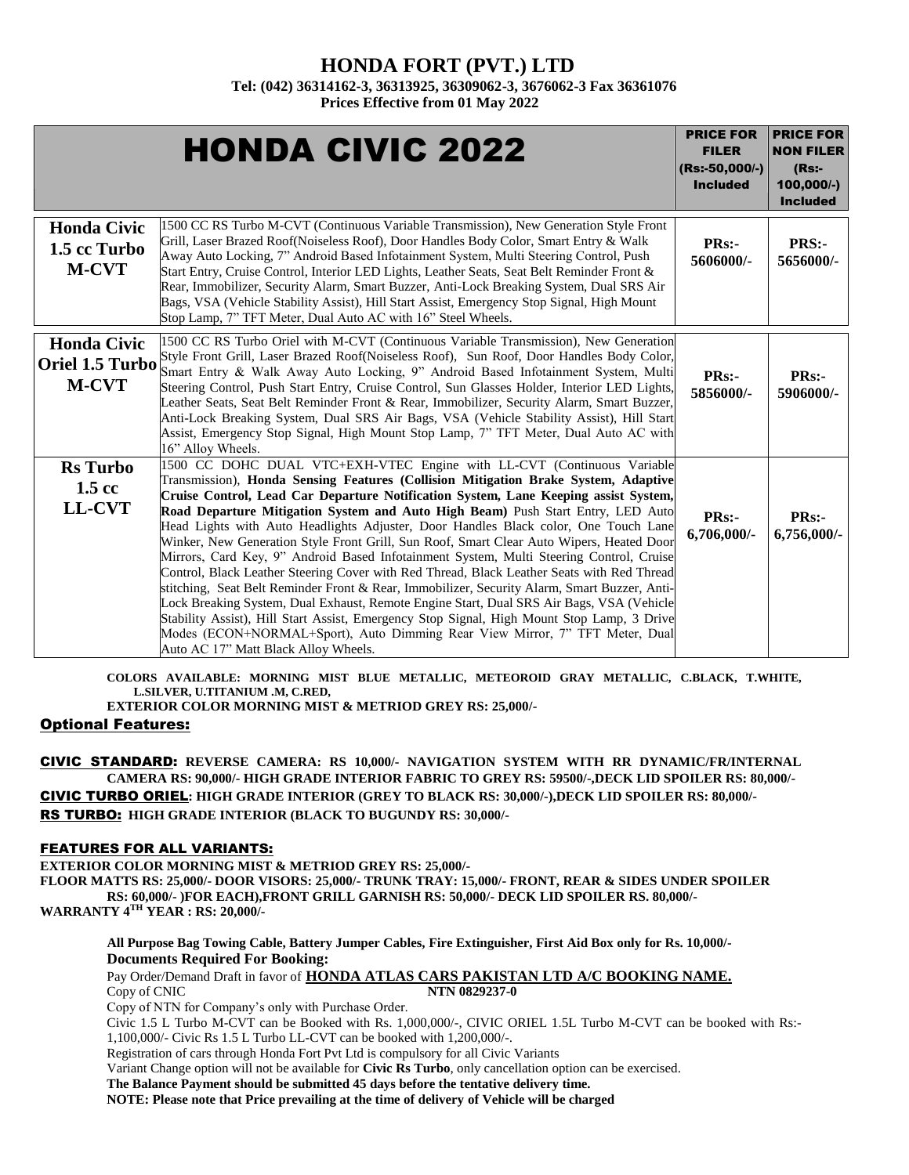### **HONDA FORT (PVT.) LTD**

**Tel: (042) 36314162-3, 36313925, 36309062-3, 3676062-3 Fax 36361076**

**Prices Effective from 01 May 2022**

|                                                       | <b>HONDA CIVIC 2022</b>                                                                                                                                                                                                                                                                                                                                                                                                                                                                                                                                                                                                                                                                                                                                                                                                                                                                                                                                                                                                                                                                                                              | <b>PRICE FOR</b><br><b>FILER</b><br>(Rs:-50,000/-)<br><b>Included</b> | <b>PRICE FOR</b><br><b>NON FILER</b><br>$(Rs$ :-<br>100,000/-)<br><b>Included</b> |
|-------------------------------------------------------|--------------------------------------------------------------------------------------------------------------------------------------------------------------------------------------------------------------------------------------------------------------------------------------------------------------------------------------------------------------------------------------------------------------------------------------------------------------------------------------------------------------------------------------------------------------------------------------------------------------------------------------------------------------------------------------------------------------------------------------------------------------------------------------------------------------------------------------------------------------------------------------------------------------------------------------------------------------------------------------------------------------------------------------------------------------------------------------------------------------------------------------|-----------------------------------------------------------------------|-----------------------------------------------------------------------------------|
| <b>Honda Civic</b><br>1.5 cc Turbo<br><b>M-CVT</b>    | 1500 CC RS Turbo M-CVT (Continuous Variable Transmission), New Generation Style Front<br>Grill, Laser Brazed Roof(Noiseless Roof), Door Handles Body Color, Smart Entry & Walk<br>Away Auto Locking, 7" Android Based Infotainment System, Multi Steering Control, Push<br>Start Entry, Cruise Control, Interior LED Lights, Leather Seats, Seat Belt Reminder Front &<br>Rear, Immobilizer, Security Alarm, Smart Buzzer, Anti-Lock Breaking System, Dual SRS Air<br>Bags, VSA (Vehicle Stability Assist), Hill Start Assist, Emergency Stop Signal, High Mount<br>Stop Lamp, 7" TFT Meter, Dual Auto AC with 16" Steel Wheels.                                                                                                                                                                                                                                                                                                                                                                                                                                                                                                     | <b>PRs:-</b><br>5606000/-                                             | PRS:-<br>5656000/-                                                                |
| <b>Honda Civic</b><br>Oriel 1.5 Turbo<br><b>M-CVT</b> | 1500 CC RS Turbo Oriel with M-CVT (Continuous Variable Transmission), New Generation<br>Style Front Grill, Laser Brazed Roof(Noiseless Roof), Sun Roof, Door Handles Body Color,<br>Smart Entry & Walk Away Auto Locking, 9" Android Based Infotainment System, Multi<br>Steering Control, Push Start Entry, Cruise Control, Sun Glasses Holder, Interior LED Lights,<br>Leather Seats, Seat Belt Reminder Front & Rear, Immobilizer, Security Alarm, Smart Buzzer,<br>Anti-Lock Breaking System, Dual SRS Air Bags, VSA (Vehicle Stability Assist), Hill Start<br>Assist, Emergency Stop Signal, High Mount Stop Lamp, 7" TFT Meter, Dual Auto AC with<br>16" Alloy Wheels.                                                                                                                                                                                                                                                                                                                                                                                                                                                         | PRs:-<br>5856000/-                                                    | <b>PRs:-</b><br>5906000/-                                                         |
| <b>Rs</b> Turbo<br>$1.5 \text{ cc}$<br><b>LL-CVT</b>  | 1500 CC DOHC DUAL VTC+EXH-VTEC Engine with LL-CVT (Continuous Variable<br>Transmission), Honda Sensing Features (Collision Mitigation Brake System, Adaptive<br>Cruise Control, Lead Car Departure Notification System, Lane Keeping assist System,<br>Road Departure Mitigation System and Auto High Beam) Push Start Entry, LED Auto<br>Head Lights with Auto Headlights Adjuster, Door Handles Black color, One Touch Lane<br>Winker, New Generation Style Front Grill, Sun Roof, Smart Clear Auto Wipers, Heated Door<br>Mirrors, Card Key, 9" Android Based Infotainment System, Multi Steering Control, Cruise<br>Control, Black Leather Steering Cover with Red Thread, Black Leather Seats with Red Thread<br>stitching, Seat Belt Reminder Front & Rear, Immobilizer, Security Alarm, Smart Buzzer, Anti-<br>Lock Breaking System, Dual Exhaust, Remote Engine Start, Dual SRS Air Bags, VSA (Vehicle<br>Stability Assist), Hill Start Assist, Emergency Stop Signal, High Mount Stop Lamp, 3 Drive<br>Modes (ECON+NORMAL+Sport), Auto Dimming Rear View Mirror, 7" TFT Meter, Dual<br>Auto AC 17" Matt Black Alloy Wheels. | <b>PRs:-</b><br>6,706,000/-                                           | PRs:-<br>6,756,000/-                                                              |

**COLORS AVAILABLE: MORNING MIST BLUE METALLIC, METEOROID GRAY METALLIC, C.BLACK, T.WHITE, L.SILVER, U.TITANIUM .M, C.RED,** 

**EXTERIOR COLOR MORNING MIST & METRIOD GREY RS: 25,000/-**

### Optional Features:

CIVIC STANDARD: **REVERSE CAMERA: RS 10,000/- NAVIGATION SYSTEM WITH RR DYNAMIC/FR/INTERNAL CAMERA RS: 90,000/- HIGH GRADE INTERIOR FABRIC TO GREY RS: 59500/-,DECK LID SPOILER RS: 80,000/-** CIVIC TURBO ORIEL**: HIGH GRADE INTERIOR (GREY TO BLACK RS: 30,000/-),DECK LID SPOILER RS: 80,000/-** RS TURBO: **HIGH GRADE INTERIOR (BLACK TO BUGUNDY RS: 30,000/-**

### FEATURES FOR ALL VARIANTS:

**EXTERIOR COLOR MORNING MIST & METRIOD GREY RS: 25,000/-**

**FLOOR MATTS RS: 25,000/- DOOR VISORS: 25,000/- TRUNK TRAY: 15,000/- FRONT, REAR & SIDES UNDER SPOILER RS: 60,000/- )FOR EACH),FRONT GRILL GARNISH RS: 50,000/- DECK LID SPOILER RS. 80,000/- WARRANTY 4TH YEAR : RS: 20,000/-**

 **All Purpose Bag Towing Cable, Battery Jumper Cables, Fire Extinguisher, First Aid Box only for Rs. 10,000/- Documents Required For Booking:**

Pay Order/Demand Draft in favor of **HONDA ATLAS CARS PAKISTAN LTD A/C BOOKING NAME.** Copy of CNIC **NTN 0829237-0**

Copy of NTN for Company's only with Purchase Order.

Civic 1.5 L Turbo M-CVT can be Booked with Rs. 1,000,000/-, CIVIC ORIEL 1.5L Turbo M-CVT can be booked with Rs:- 1,100,000/- Civic Rs 1.5 L Turbo LL-CVT can be booked with 1,200,000/-.

Registration of cars through Honda Fort Pvt Ltd is compulsory for all Civic Variants

Variant Change option will not be available for **Civic Rs Turbo**, only cancellation option can be exercised.

**The Balance Payment should be submitted 45 days before the tentative delivery time.**

**NOTE: Please note that Price prevailing at the time of delivery of Vehicle will be charged**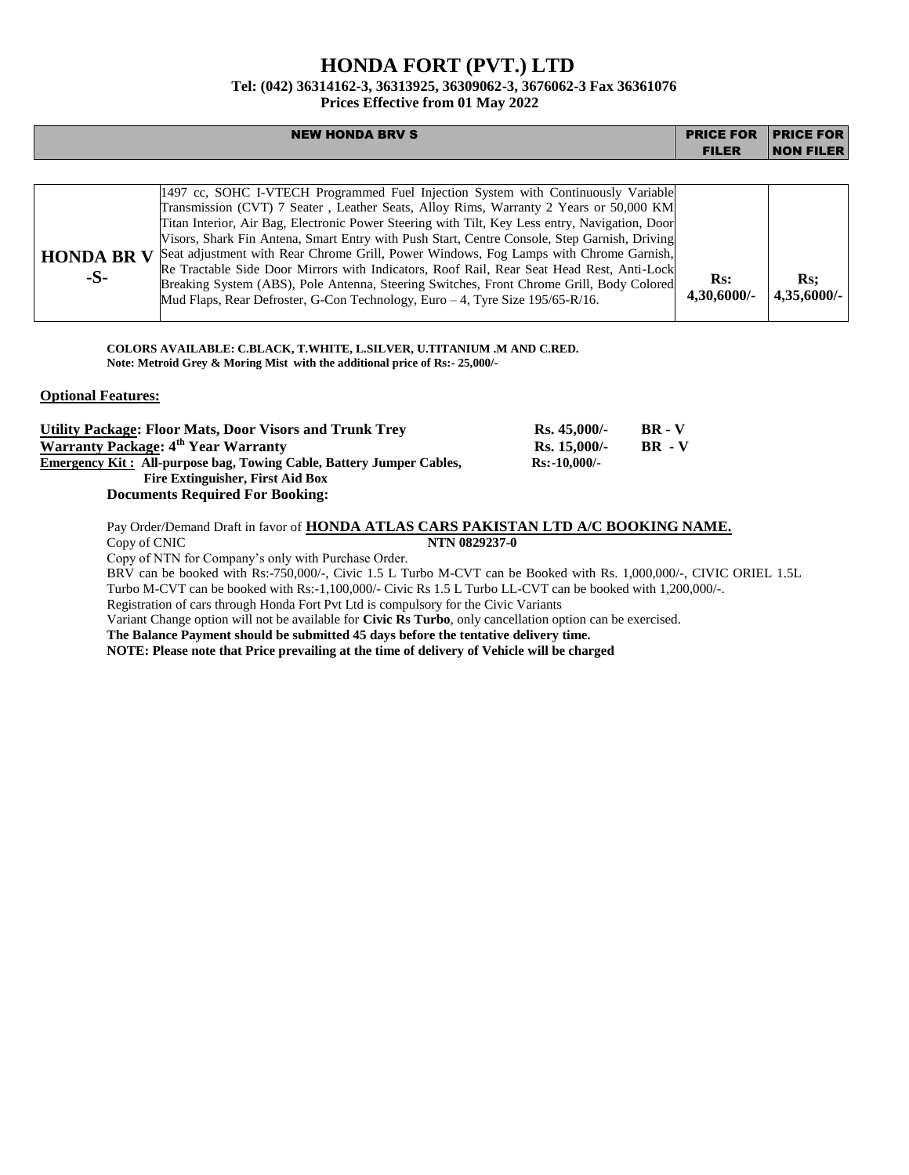# **HONDA FORT (PVT.) LTD**

## **Tel: (042) 36314162-3, 36313925, 36309062-3, 3676062-3 Fax 36361076**

**Prices Effective from 01 May 2022**

|                            | <b>NEW HONDA BRV S</b>                                                                                                                                                                                                                                                                                                                                                                                                                                                                                                                                                                                                                                                                                                                          | <b>PRICE FOR</b>                 | <b>PRICE FOR</b>                 |
|----------------------------|-------------------------------------------------------------------------------------------------------------------------------------------------------------------------------------------------------------------------------------------------------------------------------------------------------------------------------------------------------------------------------------------------------------------------------------------------------------------------------------------------------------------------------------------------------------------------------------------------------------------------------------------------------------------------------------------------------------------------------------------------|----------------------------------|----------------------------------|
|                            |                                                                                                                                                                                                                                                                                                                                                                                                                                                                                                                                                                                                                                                                                                                                                 | <b>FILER</b>                     | <b>NON FILER</b>                 |
|                            |                                                                                                                                                                                                                                                                                                                                                                                                                                                                                                                                                                                                                                                                                                                                                 |                                  |                                  |
| <b>HONDA BR V</b><br>$-S-$ | 1497 cc, SOHC I-VTECH Programmed Fuel Injection System with Continuously Variable<br>Transmission (CVT) 7 Seater, Leather Seats, Alloy Rims, Warranty 2 Years or 50,000 KM<br>Titan Interior, Air Bag, Electronic Power Steering with Tilt, Key Less entry, Navigation, Door<br>Visors, Shark Fin Antena, Smart Entry with Push Start, Centre Console, Step Garnish, Driving<br>Seat adjustment with Rear Chrome Grill, Power Windows, Fog Lamps with Chrome Garnish,<br>Re Tractable Side Door Mirrors with Indicators, Roof Rail, Rear Seat Head Rest, Anti-Lock<br>Breaking System (ABS), Pole Antenna, Steering Switches, Front Chrome Grill, Body Colored<br>Mud Flaps, Rear Defroster, G-Con Technology, Euro – 4, Tyre Size 195/65-R/16. | $\mathbf{Rs:}$<br>$4,30,6000/$ - | $\mathbf{Rs:}$<br>$4,35,6000/$ - |

**COLORS AVAILABLE: C.BLACK, T.WHITE, L.SILVER, U.TITANIUM .M AND C.RED. Note: Metroid Grey & Moring Mist with the additional price of Rs:- 25,000/-**

#### **Optional Features:**

| <b>Utility Package: Floor Mats, Door Visors and Trunk Trev</b>              | $Rs.45.000/-$  | <b>BR</b> - V |
|-----------------------------------------------------------------------------|----------------|---------------|
| Warranty Package: 4 <sup>th</sup> Year Warranty                             | $Rs. 15.000/-$ | $BR - V$      |
| <b>Emergency Kit: All-purpose bag, Towing Cable, Battery Jumper Cables,</b> | $Rs: -10,000/$ |               |
| Fire Extinguisher, First Aid Box                                            |                |               |
| <b>Documents Required For Booking:</b>                                      |                |               |

Pay Order/Demand Draft in favor of **HONDA ATLAS CARS PAKISTAN LTD A/C BOOKING NAME.** Copy of CNIC **NTN 0829237-0**

Copy of NTN for Company's only with Purchase Order.

BRV can be booked with Rs:-750,000/-, Civic 1.5 L Turbo M-CVT can be Booked with Rs. 1,000,000/-, CIVIC ORIEL 1.5L Turbo M-CVT can be booked with Rs:-1,100,000/- Civic Rs 1.5 L Turbo LL-CVT can be booked with 1,200,000/-.

Registration of cars through Honda Fort Pvt Ltd is compulsory for the Civic Variants

Variant Change option will not be available for **Civic Rs Turbo**, only cancellation option can be exercised.

**The Balance Payment should be submitted 45 days before the tentative delivery time.**

**NOTE: Please note that Price prevailing at the time of delivery of Vehicle will be charged**